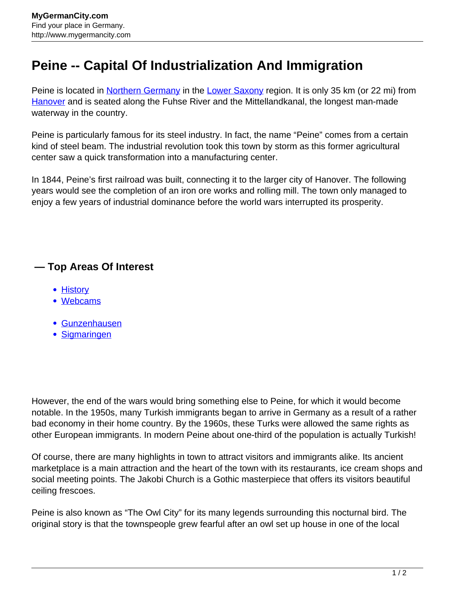## **Peine -- Capital Of Industrialization And Immigration**

Peine is located in [Northern Germany](http://www.mygermancity.com/north-germany) in the [Lower Saxony](http://www.mygermancity.com/lower-saxony) region. It is only 35 km (or 22 mi) from [Hanover](http://www.mygermancity.com/hanover) and is seated along the Fuhse River and the Mittellandkanal, the longest man-made waterway in the country.

Peine is particularly famous for its steel industry. In fact, the name "Peine" comes from a certain kind of steel beam. The industrial revolution took this town by storm as this former agricultural center saw a quick transformation into a manufacturing center.

In 1844, Peine's first railroad was built, connecting it to the larger city of Hanover. The following years would see the completion of an iron ore works and rolling mill. The town only managed to enjoy a few years of industrial dominance before the world wars interrupted its prosperity.

## **— Top Areas Of Interest**

- [History](http://www.mygermancity.com/leipzig-history)
- [Webcams](http://www.mygermancity.com/neustadt-holstein-webcams)
- [Gunzenhausen](http://www.mygermancity.com/gunzenhausen)
- [Sigmaringen](http://www.mygermancity.com/sigmaringen)

However, the end of the wars would bring something else to Peine, for which it would become notable. In the 1950s, many Turkish immigrants began to arrive in Germany as a result of a rather bad economy in their home country. By the 1960s, these Turks were allowed the same rights as other European immigrants. In modern Peine about one-third of the population is actually Turkish!

Of course, there are many highlights in town to attract visitors and immigrants alike. Its ancient marketplace is a main attraction and the heart of the town with its restaurants, ice cream shops and social meeting points. The Jakobi Church is a Gothic masterpiece that offers its visitors beautiful ceiling frescoes.

Peine is also known as "The Owl City" for its many legends surrounding this nocturnal bird. The original story is that the townspeople grew fearful after an owl set up house in one of the local